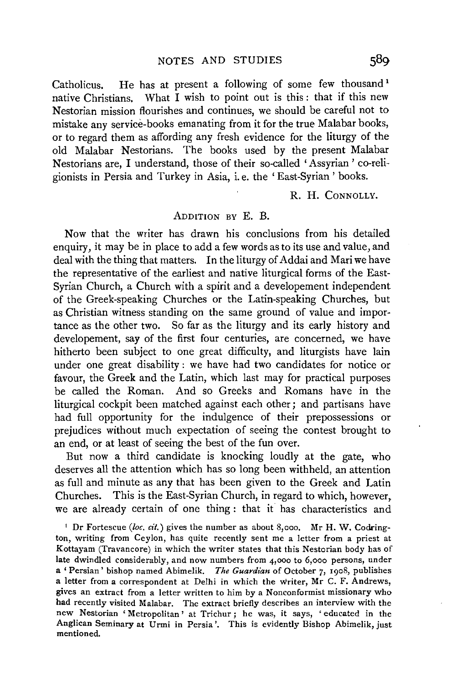Catholicus. He has at present a following of some few thousand<sup>1</sup> native Christians. What I wish to point out is this : that if this new Nestorian mission flourishes and continues, we should be careful not to mistake any service-books emanating from it for the true Malabar books, or to regard them as affording any fresh evidence for the liturgy of the old Malabar Nestorians. The books used by the present Malabar Nestorians are, I understand, those of their so-called 'Assyrian' co-religionists in Persia and Turkey in Asia, i. e. the ' East-Syrian ' books.

## R. H. CoNNOLLY.

## ADDITION BY E. B.

Now that the writer has drawn his conclusions from his detailed enquiry, it may be in place to add a few words as to its use and value, and deal with the thing that matters. In the liturgy of Addai and Mari we have the representative of the earliest and native liturgical forms of the East-Syrian Church, a Church with a spirit and a developement independent of the Greek-speaking Churches or the Latin-speaking Churches, but as Christian witness standing on the same ground of value and importance as the other two. So far as the liturgy and its early history and developement, say of the first four centuries, are concerned, we have hitherto been subject to one great difficulty, and liturgists have lain under one great disability : we have had two candidates for notice or favour, the Greek and the Latin, which last may for practical purposes be called the Roman. And so Greeks and Romans have in the liturgical cockpit been matched against each other; and partisans have had full opportunity for the indulgence of their prepossessions or prejudices without much expectation of seeing the contest brought to an end, or at least of seeing the best of the fun over.

But now a third candidate is knocking loudly at the gate, who deserves all the attention which has so long been withheld, an attention as full and minute as any that has been given to the Greek and Latin Churches. This is the East-Syrian Church, in regard to which, however, we are already certain of one thing : that it has characteristics and

<sup>1</sup> Dr Fortescue (loc. cit.) gives the number as about 8,000. Mr H. W. Codrington, writing from Ceylon, has quite recently sent me a letter from a priest at Kottayam (Travancore) in which the writer states that this Nestorian body has of late dwindled considerably, and now numbers from 4,ooo to 6,ooo persons, under a 'Persian' bishop named Abimelik. *The Guardian* of October 7, 1908, publishes a letter from a correspondent at Delhi in which the writer, Mr C. F. Andrews, gives an extract from a letter written to him by a Nonconformist missionary who had recently visited Malabar. The extract briefly describes an interview with the new Nestorian 'Metropolitan' at Trichur; he was, it says, 'educated in the Anglican Seminary at Urmi in Persia'. This is evidently Bishop Abimelik, just mentioned.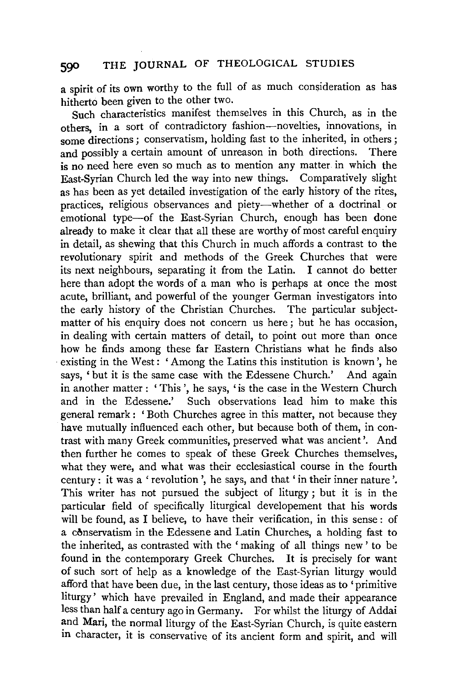a spirit of its own worthy to the full of as much consideration as has hitherto been given to the other two.

Such characteristics manifest themselves in this Church, as in the others, in a sort of contradictory fashion-novelties, innovations, in some directions ; conservatism, holding fast to the inherited, in others : and possibly a certain amount of unreason in both directions. There is no need here even so much as to mention any matter in which the East-Syrian Church led the way into new things. Comparatively slight as has been as yet detailed investigation of the early history of the rites, practices, religious observances and piety-whether of a doctrinal or emotional type-of the East-Syrian Church, enough has been done already to make it clear that all these are worthy of most careful enquiry in detail, as shewing that this Church in much affords a contrast to the revolutionary spirit and methods of the Greek Churches that were its next neighbours, separating it from the Latin. I cannot do better here than adopt the words of a man who is perhaps at once the most acute, brilliant, and powerful of the younger German investigators into the early history of the Christian Churches. The particular subjectmatter of his enquiry does not concern us here ; but he has occasion, in dealing with certain matters of detail, to point out more than once how he finds among these far Eastern Christians what he finds also existing in the West: 'Among the Latins this institution is known', he says, 'but it is the same case with the Edessene Church.' And again in another matter : ' This ', he says, 'is the case in the Western Church and in the Edessene.' Such observations lead him to make this general remark: 'Both Churches agree in this matter, not because they have mutually influenced each other, but because both of them, in contrast with many Greek communities, preserved what was ancient'. And then further he comes to speak of these Greek Churches themselves, what they were, and what was their ecclesiastical course in the fourth century: it was a 'revolution ', he says, and that 'in their inner nature'. This writer has not pursued the subject of liturgy ; but it is in the particular field of specifically liturgical developement that his words will be found, as I believe, to have their verification, in this sense: of a conservatism in the Edessene and Latin Churches, a holding fast to the inherited, as contrasted with the ' making of all things new ' to be found in the contemporary Greek Churches. It is precisely for want of such sort of help as a knowledge of the East-Syrian liturgy would afford that have been due, in the last century, those ideas as to 'primitive liturgy' which have prevailed in England, and made their appearance less than half a century ago in Germany. For whilst the liturgy of Addai and Mari, the normal liturgy of the East-Syrian Church, is quite eastern in character, it is conservative of its ancient form and spirit, and will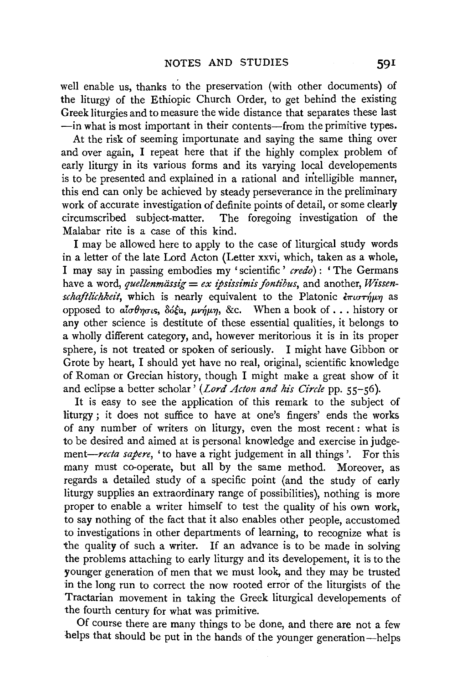well enable us, thanks to the preservation (with other documents) of the liturgy of the Ethiopic Church Order, to get behind the existing Greek liturgies and to measure the wide distance that separates these last -in what is most important in their contents-from the primitive types.

At the risk of seeming importunate and saying the same thing over and over again, I repeat here that if the highly complex problem of early liturgy in its various forms and its varying local developements is to be presented and explained in a rational and intelligible manner, this end can only be achieved by steady perseverance in the preliminary work of accurate investigation of definite points of detail, or some clearly circumscribed subject-matter. The foregoing investigation of the Malabar rite is a case of this kind.

I may be allowed here to apply to the case of liturgical study words in a letter of the late Lord Acton (Letter xxvi, which, taken as a whole, I may say in passing embodies my 'scientific' *credo):* 'The Germans have a word, *quellenmässig* = ex *ipsissimis fontibus*, and another, *Wissenschaftlichkeit*, which is nearly equivalent to the Platonic  $\frac{2\pi}{\sigma}$  as opposed to *αίσθησι*s, δόξα, *μνήμη*, &c. When a book of ... history or any other science is destitute of these essential qualities, it belongs to a wholly different category, and, however meritorious it is in its proper sphere, is not treated or spoken of seriously. I might have Gibbon or Grote by heart, I should yet have no real, original, scientific knowledge of Roman or Grecian history, though I might make a great show of it and eclipse a better scholar' *(Lord Acton and his Circle* pp. 55-56).

It is easy to see the application of this remark to the subject of liturgy ; it does not suffice to have at one's fingers' ends the works of any number of writers on liturgy, even the most recent: what is to be desired and aimed at is personal knowledge and exercise in judgement-*recta sapere*, 'to have a right judgement in all things'. For this many must co-operate, but all by the same method. Moreover, as regards a detailed study of a specific point (and the study of early liturgy supplies an extraordinary range of possibilities), nothing is more proper to enable a writer himself to test the quality of his own work, to say nothing of the fact that it also enables other people, accustomed to investigations in other departments of learning, to recognize what is the quality of such a writer. If an advance is to be made in solving the problems attaching to early liturgy and its developement, it is to the younger generation of men that we must look, and they may be trusted in the long run to correct the now rooted error of the liturgists of the Tractarian movement in taking the Greek liturgical developements of the fourth century for what was primitive.

Of course there are many things to be done, and there are not a few helps that should be put in the hands of the younger generation-helps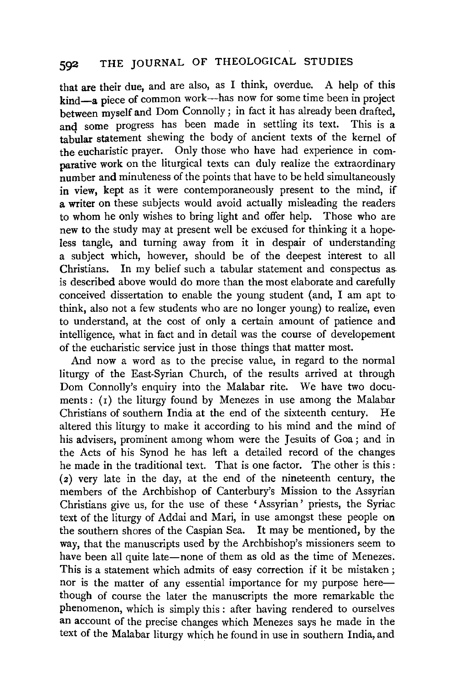## 592 THE JOURNAL OF THEOLOGICAL STUDIES

that are their due, and are also, as I think, overdue. A help of this kind-a piece of common work-has now for some time been in project between myself and Dom Connolly; in fact it has already been drafted. and some progress has been made in settling its text. This is a tabular statement shewing the body of ancient texts of the kernel of the eucharistic prayer. Only those who have had experience in comparative work on the liturgical texts can duly realize the extraordinary number and minuteness of the points that have to be held simultaneously in view, kept as it were contemporaneously present to the mind, if a writer on these subjects would avoid actually misleading the readers to whom he only wishes to bring light and offer help. Those who are new to the study may at present well be excused for thinking it a hopeless tangle, and turning away from it in despair of understanding a subject which, however, should be of the deepest interest to all Christians. In my belief such a tabular statement and conspectus as is described above would do more than the most elaborate and carefully conceived dissertation to enable the young student (and, I am apt to think, also not a few students who are no longer young) to realize, even to understand, at the cost of only a certain amount of patience and intelligence, what in fact and in detail was the course of developement of the eucharistic service just in those things that matter most.

And now a word as to the precise value, in regard to the normal liturgy of the East-Syrian Church, of the results arrived at through Dom Connolly's enquiry into the Malabar rite. We have two documents :  $(1)$  the liturgy found by Menezes in use among the Malabar Christians of southern India at the end of the sixteenth century. He Christians of southern India at the end of the sixteenth century. altered this liturgy to make it according to his mind and the mind of his advisers, prominent among whom were the Jesuits of Goa; and in the Acts of his Synod he has left a detailed record of the changes he made in the traditional text. That is one factor. The other is this : (z) very late in the day, at the end of the nineteenth century, the members of the Archbishop of Canterbury's Mission to the Assyrian Christians give us, for the use of these 'Assyrian' priests, the Syriac text of the liturgy of Addai and Mari, in use amongst these people on the southern shores of the Caspian Sea. It may be mentioned, by the way, that the manuscripts used by the Archbishop's missioners seem to have been all quite late—none of them as old as the time of Menezes. This is a statement which admits of easy correction if it be mistaken; nor is the matter of any essential importance for my purpose herethough of course the later the manuscripts the more remarkable the phenomenon, which is simply this: after having rendered to ourselves an account of the precise changes which Menezes says he made in the text of the Malabar liturgy which he found in use in southern India, and